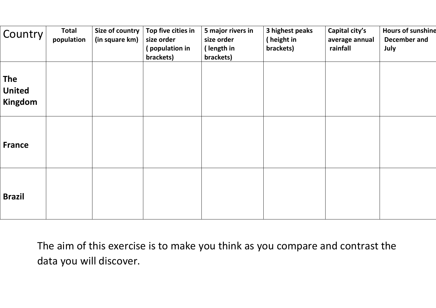| Country                                | <b>Total</b><br>population | Size of country<br>(in square km) | Top five cities in<br>size order<br>(population in<br>brackets) | 5 major rivers in<br>size order<br>(length in<br>brackets) | 3 highest peaks<br>(height in<br>brackets) | Capital city's<br>average annual<br>rainfall | <b>Hours of sunshine</b><br>December and<br>July |
|----------------------------------------|----------------------------|-----------------------------------|-----------------------------------------------------------------|------------------------------------------------------------|--------------------------------------------|----------------------------------------------|--------------------------------------------------|
| <b>The</b><br><b>United</b><br>Kingdom |                            |                                   |                                                                 |                                                            |                                            |                                              |                                                  |
| <b>France</b>                          |                            |                                   |                                                                 |                                                            |                                            |                                              |                                                  |
| <b>Brazil</b>                          |                            |                                   |                                                                 |                                                            |                                            |                                              |                                                  |

The aim of this exercise is to make you think as you compare and contrast the data you will discover.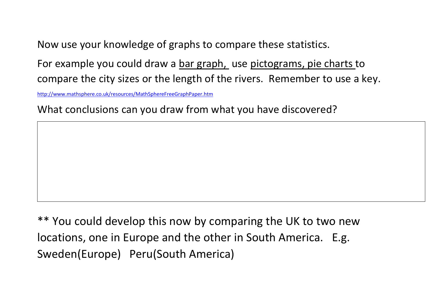Now use your knowledge of graphs to compare these statistics.

For example you could draw a bar graph, use pictograms, pie charts to compare the city sizes or the length of the rivers. Remember to use a key.

<http://www.mathsphere.co.uk/resources/MathSphereFreeGraphPaper.htm>

What conclusions can you draw from what you have discovered?

\*\* You could develop this now by comparing the UK to two new locations, one in Europe and the other in South America. E.g. Sweden(Europe) Peru(South America)